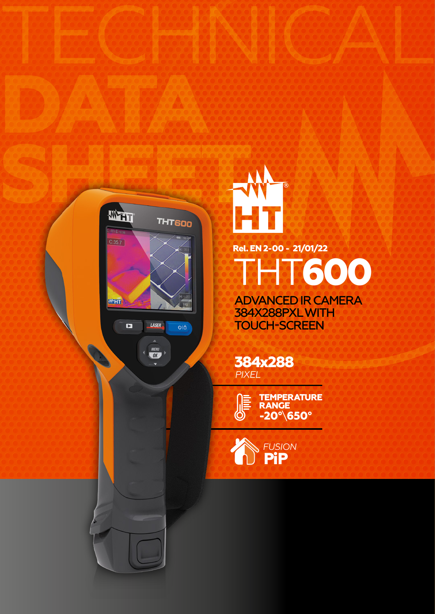

MENU<br>CK

**DATA**



TECHNICAL

ADVANCED IR CAMERA THT**600**

384X288PXL WITH TOUCH-SCREEN

**384x288** *PIXEL*

> **-20°**\**650° TEMPERATURE RANGE**

**PiP** *FUSION*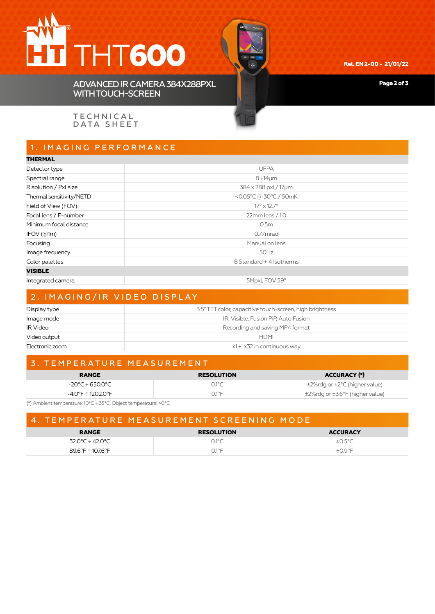## THT**600**



**Rel. EN 2-00 - 21/01/22**

**Page 2 of 3**

ADVANCED IR CAMERA 384X288PXL WITH TOUCH-SCREEN

**TECHNICAL** DATA SHEET

## 1. IMAGING PERFORMANCE

| <b>THERMAL</b>           |                                  |  |
|--------------------------|----------------------------------|--|
| Detector type            | <b>UFPA</b>                      |  |
| Spectral range           | $8 ÷ 14 \mu m$                   |  |
| Risolution / Pxl size    | 384 x 288 pxl / 17µm             |  |
| Thermal sensitivity/NETD | <0.05°C @ 30°C / 50mK            |  |
| Field of View (FOV)      | $17^{\circ} \times 12.7^{\circ}$ |  |
| Focal lens / F-number    | 22mm lens / 1.0                  |  |
| Minimum focal distance   | 0.5m                             |  |
| IFOV(@1m)                | 0.77 <sub>mrad</sub>             |  |
| Focusing                 | Manual on lens                   |  |
| Image frequency          | 50Hz                             |  |
| Color palettes           | 8 Standard + 4 Isotherms         |  |
| <b>VISIBLE</b>           |                                  |  |
| Integrated camera        | 5Mpxl, FOV 59°                   |  |
|                          |                                  |  |

| 2. IMAGING/IR VIDEO DISPLAY |                                                          |  |
|-----------------------------|----------------------------------------------------------|--|
| Display type                | 3.5" TFT color, capacitive touch-screen, high brightness |  |
| Image mode                  | IR, Visible, Fusion PiP, Auto Fusion                     |  |
| <b>IR Video</b>             | Recording and saving MP4 format                          |  |
| Video output                | <b>HDMI</b>                                              |  |
| Electronic zoom             | $x1 \div x32$ in continuous way                          |  |

#### 3. TEMPERATURE MEASUREMENT

| <b>RANGE</b>      | <b>RESOLUTION</b> | <b>ACCURACY (*)</b>                       |
|-------------------|-------------------|-------------------------------------------|
| -20°C÷650.0°C     | $O.1^{\circ}C$    | $\pm$ 2%rdg or $\pm$ 2°C (higher value)   |
| -4.0°F ÷ 1202.0°F | ∩1°F              | $\pm$ 2%rdg or $\pm$ 3.6°F (higher value) |

(\*) Ambient temperature: 10°C ÷ 35°C, Object temperature: >0°C

| 4. TEMPERATURE MEASUREMENT SCREENING MODE |                   |                 |  |
|-------------------------------------------|-------------------|-----------------|--|
| <b>RANGE</b>                              | <b>RESOLUTION</b> | <b>ACCURACY</b> |  |
| 32 0°C ÷ 42 0°C                           | $01^{\circ}$ C    | ±N 5°C          |  |
| 89.6°F÷107.6°F                            | $\bigcap$ 1°F     | $+O$ 9°F        |  |